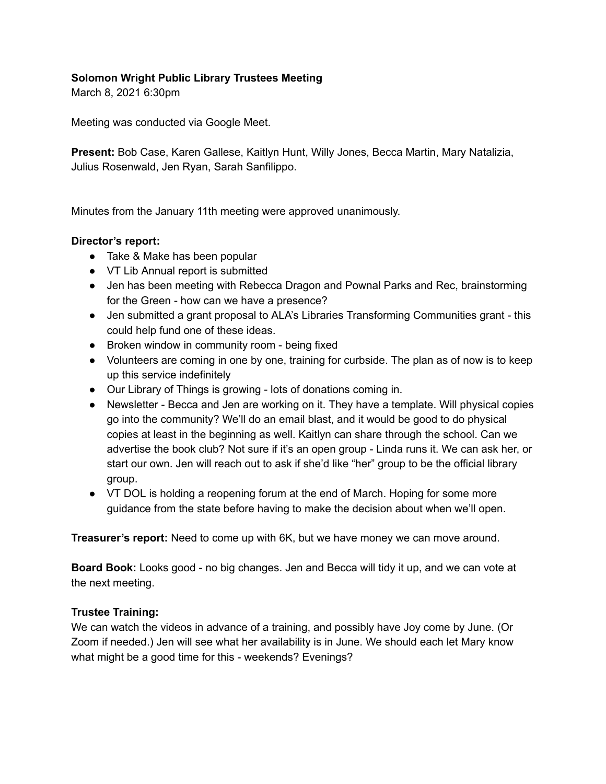## **Solomon Wright Public Library Trustees Meeting**

March 8, 2021 6:30pm

Meeting was conducted via Google Meet.

**Present:** Bob Case, Karen Gallese, Kaitlyn Hunt, Willy Jones, Becca Martin, Mary Natalizia, Julius Rosenwald, Jen Ryan, Sarah Sanfilippo.

Minutes from the January 11th meeting were approved unanimously.

## **Director's report:**

- Take & Make has been popular
- VT Lib Annual report is submitted
- Jen has been meeting with Rebecca Dragon and Pownal Parks and Rec, brainstorming for the Green - how can we have a presence?
- Jen submitted a grant proposal to ALA's Libraries Transforming Communities grant this could help fund one of these ideas.
- Broken window in community room being fixed
- Volunteers are coming in one by one, training for curbside. The plan as of now is to keep up this service indefinitely
- Our Library of Things is growing lots of donations coming in.
- Newsletter Becca and Jen are working on it. They have a template. Will physical copies go into the community? We'll do an email blast, and it would be good to do physical copies at least in the beginning as well. Kaitlyn can share through the school. Can we advertise the book club? Not sure if it's an open group - Linda runs it. We can ask her, or start our own. Jen will reach out to ask if she'd like "her" group to be the official library group.
- VT DOL is holding a reopening forum at the end of March. Hoping for some more guidance from the state before having to make the decision about when we'll open.

**Treasurer's report:** Need to come up with 6K, but we have money we can move around.

**Board Book:** Looks good - no big changes. Jen and Becca will tidy it up, and we can vote at the next meeting.

### **Trustee Training:**

We can watch the videos in advance of a training, and possibly have Joy come by June. (Or Zoom if needed.) Jen will see what her availability is in June. We should each let Mary know what might be a good time for this - weekends? Evenings?